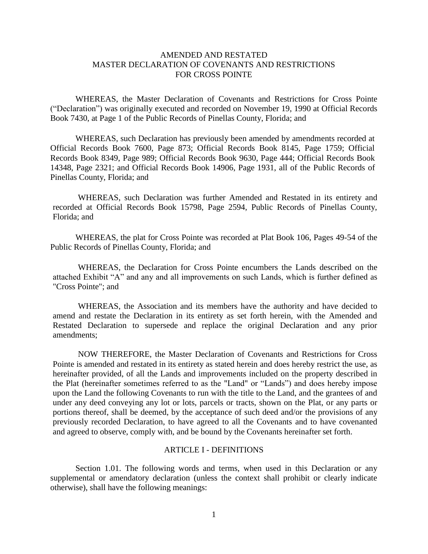# AMENDED AND RESTATED MASTER DECLARATION OF COVENANTS AND RESTRICTIONS FOR CROSS POINTE

WHEREAS, the Master Declaration of Covenants and Restrictions for Cross Pointe ("Declaration") was originally executed and recorded on November 19, 1990 at Official Records Book 7430, at Page 1 of the Public Records of Pinellas County, Florida; and

WHEREAS, such Declaration has previously been amended by amendments recorded at Official Records Book 7600, Page 873; Official Records Book 8145, Page 1759; Official Records Book 8349, Page 989; Official Records Book 9630, Page 444; Official Records Book 14348, Page 2321; and Official Records Book 14906, Page 1931, all of the Public Records of Pinellas County, Florida; and

WHEREAS, such Declaration was further Amended and Restated in its entirety and recorded at Official Records Book 15798, Page 2594, Public Records of Pinellas County, Florida; and

WHEREAS, the plat for Cross Pointe was recorded at Plat Book 106, Pages 49-54 of the Public Records of Pinellas County, Florida; and

WHEREAS, the Declaration for Cross Pointe encumbers the Lands described on the attached Exhibit "A" and any and all improvements on such Lands, which is further defined as "Cross Pointe"; and

WHEREAS, the Association and its members have the authority and have decided to amend and restate the Declaration in its entirety as set forth herein, with the Amended and Restated Declaration to supersede and replace the original Declaration and any prior amendments;

NOW THEREFORE, the Master Declaration of Covenants and Restrictions for Cross Pointe is amended and restated in its entirety as stated herein and does hereby restrict the use, as hereinafter provided, of all the Lands and improvements included on the property described in the Plat (hereinafter sometimes referred to as the "Land" or "Lands") and does hereby impose upon the Land the following Covenants to run with the title to the Land, and the grantees of and under any deed conveying any lot or lots, parcels or tracts, shown on the Plat, or any parts or portions thereof, shall be deemed, by the acceptance of such deed and/or the provisions of any previously recorded Declaration, to have agreed to all the Covenants and to have covenanted and agreed to observe, comply with, and be bound by the Covenants hereinafter set forth.

# ARTICLE I - DEFINITIONS

Section 1.01. The following words and terms, when used in this Declaration or any supplemental or amendatory declaration (unless the context shall prohibit or clearly indicate otherwise), shall have the following meanings: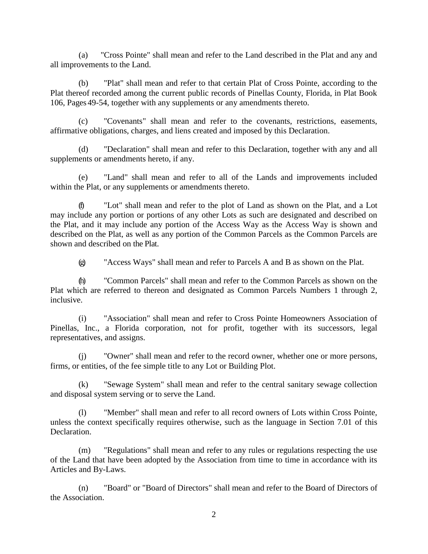(a) "Cross Pointe" shall mean and refer to the Land described in the Plat and any and all improvements to the Land.

(b) "Plat" shall mean and refer to that certain Plat of Cross Pointe, according to the Plat thereof recorded among the current public records of Pinellas County, Florida, in Plat Book 106, Pages 49-54, together with any supplements or any amendments thereto.

(c) "Covenants" shall mean and refer to the covenants, restrictions, easements, affirmative obligations, charges, and liens created and imposed by this Declaration.

(d) "Declaration" shall mean and refer to this Declaration, together with any and all supplements or amendments hereto, if any.

(e) "Land" shall mean and refer to all of the Lands and improvements included within the Plat, or any supplements or amendments thereto.

"Lot" shall mean and refer to the plot of Land as shown on the Plat, and a Lot may include any portion or portions of any other Lots as such are designated and described on the Plat, and it may include any portion of the Access Way as the Access Way is shown and described on the Plat, as well as any portion of the Common Parcels as the Common Parcels are shown and described on the Plat.

(g) "Access Ways" shall mean and refer to Parcels A and B as shown on the Plat.

(h) "Common Parcels" shall mean and refer to the Common Parcels as shown on the Plat which are referred to thereon and designated as Common Parcels Numbers 1 through 2, inclusive.

(i) "Association" shall mean and refer to Cross Pointe Homeowners Association of Pinellas, Inc., a Florida corporation, not for profit, together with its successors, legal representatives, and assigns.

(j) "Owner" shall mean and refer to the record owner, whether one or more persons, firms, or entities, of the fee simple title to any Lot or Building Plot.

(k) "Sewage System" shall mean and refer to the central sanitary sewage collection and disposal system serving or to serve the Land.

(l) "Member" shall mean and refer to all record owners of Lots within Cross Pointe, unless the context specifically requires otherwise, such as the language in Section 7.01 of this Declaration.

(m) "Regulations" shall mean and refer to any rules or regulations respecting the use of the Land that have been adopted by the Association from time to time in accordance with its Articles and By-Laws.

(n) "Board" or "Board of Directors" shall mean and refer to the Board of Directors of the Association.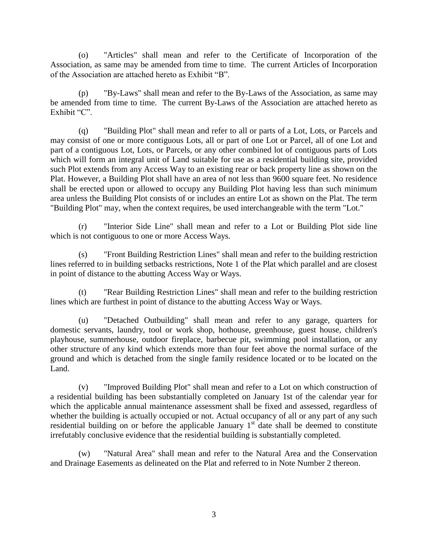(o) "Articles" shall mean and refer to the Certificate of Incorporation of the Association, as same may be amended from time to time. The current Articles of Incorporation of the Association are attached hereto as Exhibit "B".

(p) "By-Laws" shall mean and refer to the By-Laws of the Association, as same may be amended from time to time. The current By-Laws of the Association are attached hereto as Exhibit "C".

(q) "Building Plot" shall mean and refer to all or parts of a Lot, Lots, or Parcels and may consist of one or more contiguous Lots, all or part of one Lot or Parcel, all of one Lot and part of a contiguous Lot, Lots, or Parcels, or any other combined lot of contiguous parts of Lots which will form an integral unit of Land suitable for use as a residential building site, provided such Plot extends from any Access Way to an existing rear or back property line as shown on the Plat. However, a Building Plot shall have an area of not less than 9600 square feet. No residence shall be erected upon or allowed to occupy any Building Plot having less than such minimum area unless the Building Plot consists of or includes an entire Lot as shown on the Plat. The term "Building Plot" may, when the context requires, be used interchangeable with the term "Lot."

(r) "Interior Side Line" shall mean and refer to a Lot or Building Plot side line which is not contiguous to one or more Access Ways.

(s) "Front Building Restriction Lines" shall mean and refer to the building restriction lines referred to in building setbacks restrictions, Note 1 of the Plat which parallel and are closest in point of distance to the abutting Access Way or Ways.

(t) "Rear Building Restriction Lines" shall mean and refer to the building restriction lines which are furthest in point of distance to the abutting Access Way or Ways.

(u) "Detached Outbuilding" shall mean and refer to any garage, quarters for domestic servants, laundry, tool or work shop, hothouse, greenhouse, guest house, children's playhouse, summerhouse, outdoor fireplace, barbecue pit, swimming pool installation, or any other structure of any kind which extends more than four feet above the normal surface of the ground and which is detached from the single family residence located or to be located on the Land.

(v) "Improved Building Plot" shall mean and refer to a Lot on which construction of a residential building has been substantially completed on January 1st of the calendar year for which the applicable annual maintenance assessment shall be fixed and assessed, regardless of whether the building is actually occupied or not. Actual occupancy of all or any part of any such residential building on or before the applicable January  $1<sup>st</sup>$  date shall be deemed to constitute irrefutably conclusive evidence that the residential building is substantially completed.

(w) "Natural Area" shall mean and refer to the Natural Area and the Conservation and Drainage Easements as delineated on the Plat and referred to in Note Number 2 thereon.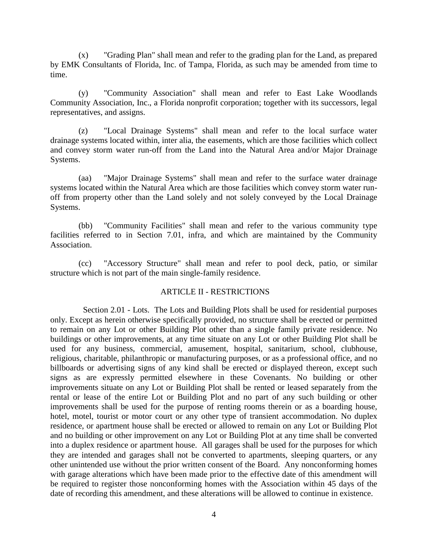(x) "Grading Plan" shall mean and refer to the grading plan for the Land, as prepared by EMK Consultants of Florida, Inc. of Tampa, Florida, as such may be amended from time to time.

(y) "Community Association" shall mean and refer to East Lake Woodlands Community Association, Inc., a Florida nonprofit corporation; together with its successors, legal representatives, and assigns.

(z) "Local Drainage Systems" shall mean and refer to the local surface water drainage systems located within, inter alia, the easements, which are those facilities which collect and convey storm water run-off from the Land into the Natural Area and/or Major Drainage Systems.

(aa) "Major Drainage Systems" shall mean and refer to the surface water drainage systems located within the Natural Area which are those facilities which convey storm water runoff from property other than the Land solely and not solely conveyed by the Local Drainage Systems.

(bb) "Community Facilities" shall mean and refer to the various community type facilities referred to in Section 7.01, infra, and which are maintained by the Community Association.

(cc) "Accessory Structure" shall mean and refer to pool deck, patio, or similar structure which is not part of the main single-family residence.

#### ARTICLE II - RESTRICTIONS

Section 2.01 - Lots. The Lots and Building Plots shall be used for residential purposes only. Except as herein otherwise specifically provided, no structure shall be erected or permitted to remain on any Lot or other Building Plot other than a single family private residence. No buildings or other improvements, at any time situate on any Lot or other Building Plot shall be used for any business, commercial, amusement, hospital, sanitarium, school, clubhouse, religious, charitable, philanthropic or manufacturing purposes, or as a professional office, and no billboards or advertising signs of any kind shall be erected or displayed thereon, except such signs as are expressly permitted elsewhere in these Covenants. No building or other improvements situate on any Lot or Building Plot shall be rented or leased separately from the rental or lease of the entire Lot or Building Plot and no part of any such building or other improvements shall be used for the purpose of renting rooms therein or as a boarding house, hotel, motel, tourist or motor court or any other type of transient accommodation. No duplex residence, or apartment house shall be erected or allowed to remain on any Lot or Building Plot and no building or other improvement on any Lot or Building Plot at any time shall be converted into a duplex residence or apartment house. All garages shall be used for the purposes for which they are intended and garages shall not be converted to apartments, sleeping quarters, or any other unintended use without the prior written consent of the Board. Any nonconforming homes with garage alterations which have been made prior to the effective date of this amendment will be required to register those nonconforming homes with the Association within 45 days of the date of recording this amendment, and these alterations will be allowed to continue in existence.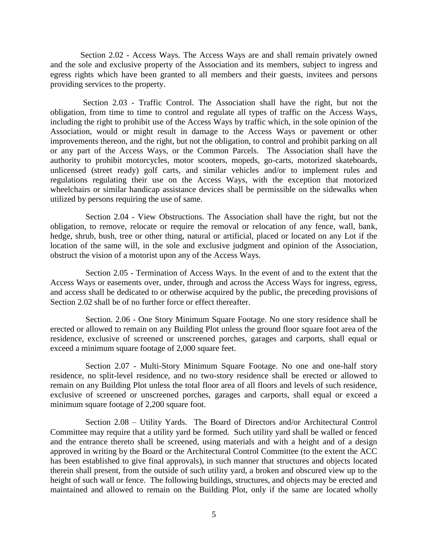Section 2.02 - Access Ways. The Access Ways are and shall remain privately owned and the sole and exclusive property of the Association and its members, subject to ingress and egress rights which have been granted to all members and their guests, invitees and persons providing services to the property.

Section 2.03 - Traffic Control. The Association shall have the right, but not the obligation, from time to time to control and regulate all types of traffic on the Access Ways, including the right to prohibit use of the Access Ways by traffic which, in the sole opinion of the Association, would or might result in damage to the Access Ways or pavement or other improvements thereon, and the right, but not the obligation, to control and prohibit parking on all or any part of the Access Ways, or the Common Parcels. The Association shall have the authority to prohibit motorcycles, motor scooters, mopeds, go-carts, motorized skateboards, unlicensed (street ready) golf carts, and similar vehicles and/or to implement rules and regulations regulating their use on the Access Ways, with the exception that motorized wheelchairs or similar handicap assistance devices shall be permissible on the sidewalks when utilized by persons requiring the use of same.

Section 2.04 - View Obstructions. The Association shall have the right, but not the obligation, to remove, relocate or require the removal or relocation of any fence, wall, bank, hedge, shrub, bush, tree or other thing, natural or artificial, placed or located on any Lot if the location of the same will, in the sole and exclusive judgment and opinion of the Association, obstruct the vision of a motorist upon any of the Access Ways.

Section 2.05 - Termination of Access Ways. In the event of and to the extent that the Access Ways or easements over, under, through and across the Access Ways for ingress, egress, and access shall be dedicated to or otherwise acquired by the public, the preceding provisions of Section 2.02 shall be of no further force or effect thereafter.

Section. 2.06 - One Story Minimum Square Footage. No one story residence shall be erected or allowed to remain on any Building Plot unless the ground floor square foot area of the residence, exclusive of screened or unscreened porches, garages and carports, shall equal or exceed a minimum square footage of 2,000 square feet.

Section 2.07 - Multi-Story Minimum Square Footage. No one and one-half story residence, no split-level residence, and no two-story residence shall be erected or allowed to remain on any Building Plot unless the total floor area of all floors and levels of such residence, exclusive of screened or unscreened porches, garages and carports, shall equal or exceed a minimum square footage of 2,200 square foot.

Section 2.08 – Utility Yards. The Board of Directors and/or Architectural Control Committee may require that a utility yard be formed. Such utility yard shall be walled or fenced and the entrance thereto shall be screened, using materials and with a height and of a design approved in writing by the Board or the Architectural Control Committee (to the extent the ACC has been established to give final approvals), in such manner that structures and objects located therein shall present, from the outside of such utility yard, a broken and obscured view up to the height of such wall or fence. The following buildings, structures, and objects may be erected and maintained and allowed to remain on the Building Plot, only if the same are located wholly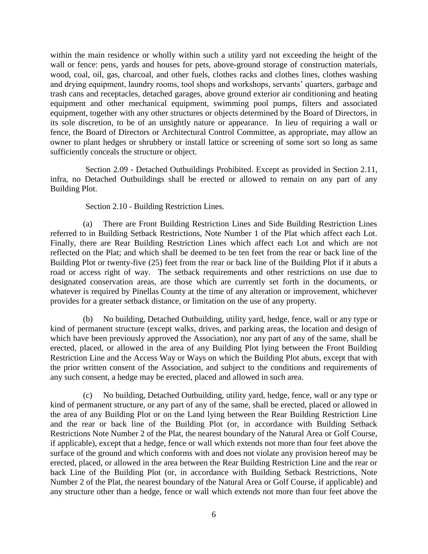within the main residence or wholly within such a utility yard not exceeding the height of the wall or fence: pens, yards and houses for pets, above-ground storage of construction materials, wood, coal, oil, gas, charcoal, and other fuels, clothes racks and clothes lines, clothes washing and drying equipment, laundry rooms, tool shops and workshops, servants' quarters, garbage and trash cans and receptacles, detached garages, above ground exterior air conditioning and heating equipment and other mechanical equipment, swimming pool pumps, filters and associated equipment, together with any other structures or objects determined by the Board of Directors, in its sole discretion, to be of an unsightly nature or appearance. In lieu of requiring a wall or fence, the Board of Directors or Architectural Control Committee, as appropriate, may allow an owner to plant hedges or shrubbery or install lattice or screening of some sort so long as same sufficiently conceals the structure or object.

Section 2.09 - Detached Outbuildings Prohibited. Except as provided in Section 2.11, infra, no Detached Outbuildings shall be erected or allowed to remain on any part of any Building Plot.

Section 2.10 - Building Restriction Lines.

(a) There are Front Building Restriction Lines and Side Building Restriction Lines referred to in Building Setback Restrictions, Note Number 1 of the Plat which affect each Lot. Finally, there are Rear Building Restriction Lines which affect each Lot and which are not reflected on the Plat; and which shall be deemed to be ten feet from the rear or back line of the Building Plot or twenty-five (25) feet from the rear or back line of the Building Plot if it abuts a road or access right of way. The setback requirements and other restrictions on use due to designated conservation areas, are those which are currently set forth in the documents, or whatever is required by Pinellas County at the time of any alteration or improvement, whichever provides for a greater setback distance, or limitation on the use of any property.

(b) No building, Detached Outbuilding, utility yard, hedge, fence, wall or any type or kind of permanent structure (except walks, drives, and parking areas, the location and design of which have been previously approved the Association), nor any part of any of the same, shall be erected, placed, or allowed in the area of any Building Plot lying between the Front Building Restriction Line and the Access Way or Ways on which the Building Plot abuts, except that with the prior written consent of the Association, and subject to the conditions and requirements of any such consent, a hedge may be erected, placed and allowed in such area.

(c) No building, Detached Outbuilding, utility yard, hedge, fence, wall or any type or kind of permanent structure, or any part of any of the same, shall be erected, placed or allowed in the area of any Building Plot or on the Land lying between the Rear Building Restriction Line and the rear or back line of the Building Plot (or, in accordance with Building Setback Restrictions Note Number 2 of the Plat, the nearest boundary of the Natural Area or Golf Course, if applicable), except that a hedge, fence or wall which extends not more than four feet above the surface of the ground and which conforms with and does not violate any provision hereof may be erected, placed, or allowed in the area between the Rear Building Restriction Line and the rear or back Line of the Building Plot (or, in accordance with Building Setback Restrictions, Note Number 2 of the Plat, the nearest boundary of the Natural Area or Golf Course, if applicable) and any structure other than a hedge, fence or wall which extends not more than four feet above the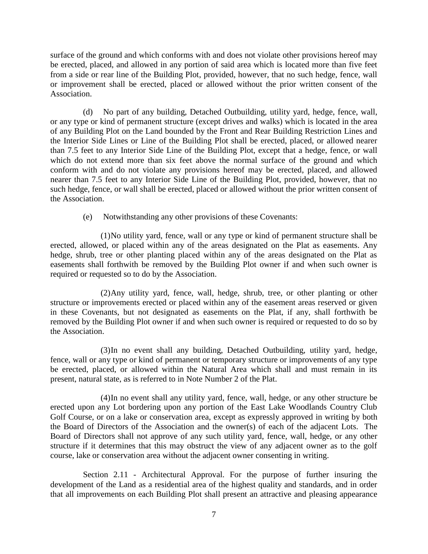surface of the ground and which conforms with and does not violate other provisions hereof may be erected, placed, and allowed in any portion of said area which is located more than five feet from a side or rear line of the Building Plot, provided, however, that no such hedge, fence, wall or improvement shall be erected, placed or allowed without the prior written consent of the Association.

(d) No part of any building, Detached Outbuilding, utility yard, hedge, fence, wall, or any type or kind of permanent structure (except drives and walks) which is located in the area of any Building Plot on the Land bounded by the Front and Rear Building Restriction Lines and the Interior Side Lines or Line of the Building Plot shall be erected, placed, or allowed nearer than 7.5 feet to any Interior Side Line of the Building Plot, except that a hedge, fence, or wall which do not extend more than six feet above the normal surface of the ground and which conform with and do not violate any provisions hereof may be erected, placed, and allowed nearer than 7.5 feet to any Interior Side Line of the Building Plot, provided, however, that no such hedge, fence, or wall shall be erected, placed or allowed without the prior written consent of the Association.

(e) Notwithstanding any other provisions of these Covenants:

(1)No utility yard, fence, wall or any type or kind of permanent structure shall be erected, allowed, or placed within any of the areas designated on the Plat as easements. Any hedge, shrub, tree or other planting placed within any of the areas designated on the Plat as easements shall forthwith be removed by the Building Plot owner if and when such owner is required or requested so to do by the Association.

(2)Any utility yard, fence, wall, hedge, shrub, tree, or other planting or other structure or improvements erected or placed within any of the easement areas reserved or given in these Covenants, but not designated as easements on the Plat, if any, shall forthwith be removed by the Building Plot owner if and when such owner is required or requested to do so by the Association.

(3)In no event shall any building, Detached Outbuilding, utility yard, hedge, fence, wall or any type or kind of permanent or temporary structure or improvements of any type be erected, placed, or allowed within the Natural Area which shall and must remain in its present, natural state, as is referred to in Note Number 2 of the Plat.

(4)In no event shall any utility yard, fence, wall, hedge, or any other structure be erected upon any Lot bordering upon any portion of the East Lake Woodlands Country Club Golf Course, or on a lake or conservation area, except as expressly approved in writing by both the Board of Directors of the Association and the owner(s) of each of the adjacent Lots. The Board of Directors shall not approve of any such utility yard, fence, wall, hedge, or any other structure if it determines that this may obstruct the view of any adjacent owner as to the golf course, lake or conservation area without the adjacent owner consenting in writing.

Section 2.11 - Architectural Approval. For the purpose of further insuring the development of the Land as a residential area of the highest quality and standards, and in order that all improvements on each Building Plot shall present an attractive and pleasing appearance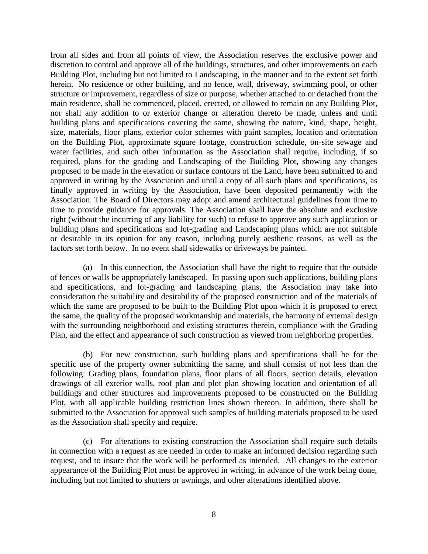from all sides and from all points of view, the Association reserves the exclusive power and discretion to control and approve all of the buildings, structures, and other improvements on each Building Plot, including but not limited to Landscaping, in the manner and to the extent set forth herein. No residence or other building, and no fence, wall, driveway, swimming pool, or other structure or improvement, regardless of size or purpose, whether attached to or detached from the main residence, shall be commenced, placed, erected, or allowed to remain on any Building Plot, nor shall any addition to or exterior change or alteration thereto be made, unless and until building plans and specifications covering the same, showing the nature, kind, shape, height, size, materials, floor plans, exterior color schemes with paint samples, location and orientation on the Building Plot, approximate square footage, construction schedule, on-site sewage and water facilities, and such other information as the Association shall require, including, if so required, plans for the grading and Landscaping of the Building Plot, showing any changes proposed to be made in the elevation or surface contours of the Land, have been submitted to and approved in writing by the Association and until a copy of all such plans and specifications, as finally approved in writing by the Association, have been deposited permanently with the Association. The Board of Directors may adopt and amend architectural guidelines from time to time to provide guidance for approvals. The Association shall have the absolute and exclusive right (without the incurring of any liability for such) to refuse to approve any such application or building plans and specifications and lot-grading and Landscaping plans which are not suitable or desirable in its opinion for any reason, including purely aesthetic reasons, as well as the factors set forth below. In no event shall sidewalks or driveways be painted.

(a) In this connection, the Association shall have the right to require that the outside of fences or walls be appropriately landscaped. In passing upon such applications, building plans and specifications, and lot-grading and landscaping plans, the Association may take into consideration the suitability and desirability of the proposed construction and of the materials of which the same are proposed to be built to the Building Plot upon which it is proposed to erect the same, the quality of the proposed workmanship and materials, the harmony of external design with the surrounding neighborhood and existing structures therein, compliance with the Grading Plan, and the effect and appearance of such construction as viewed from neighboring properties.

(b) For new construction, such building plans and specifications shall be for the specific use of the property owner submitting the same, and shall consist of not less than the following: Grading plans, foundation plans, floor plans of all floors, section details, elevation drawings of all exterior walls, roof plan and plot plan showing location and orientation of all buildings and other structures and improvements proposed to be constructed on the Building Plot, with all applicable building restriction lines shown thereon. In addition, there shall be submitted to the Association for approval such samples of building materials proposed to be used as the Association shall specify and require.

(c) For alterations to existing construction the Association shall require such details in connection with a request as are needed in order to make an informed decision regarding such request, and to insure that the work will be performed as intended. All changes to the exterior appearance of the Building Plot must be approved in writing, in advance of the work being done, including but not limited to shutters or awnings, and other alterations identified above.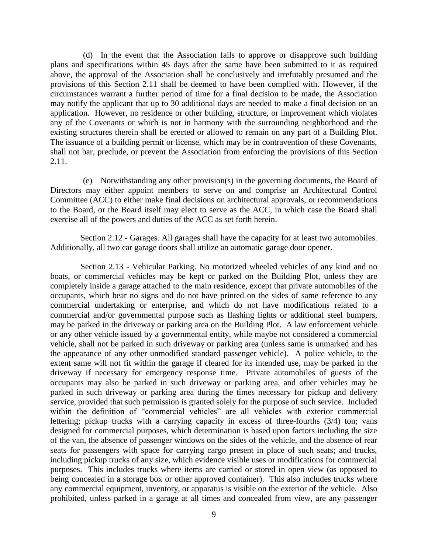(d) In the event that the Association fails to approve or disapprove such building plans and specifications within 45 days after the same have been submitted to it as required above, the approval of the Association shall be conclusively and irrefutably presumed and the provisions of this Section 2.11 shall be deemed to have been complied with. However, if the circumstances warrant a further period of time for a final decision to be made, the Association may notify the applicant that up to 30 additional days are needed to make a final decision on an application. However, no residence or other building, structure, or improvement which violates any of the Covenants or which is not in harmony with the surrounding neighborhood and the existing structures therein shall be erected or allowed to remain on any part of a Building Plot. The issuance of a building permit or license, which may be in contravention of these Covenants, shall not bar, preclude, or prevent the Association from enforcing the provisions of this Section 2.11.

(e) Notwithstanding any other provision(s) in the governing documents, the Board of Directors may either appoint members to serve on and comprise an Architectural Control Committee (ACC) to either make final decisions on architectural approvals, or recommendations to the Board, or the Board itself may elect to serve as the ACC, in which case the Board shall exercise all of the powers and duties of the ACC as set forth herein.

Section 2.12 - Garages. All garages shall have the capacity for at least two automobiles. Additionally, all two car garage doors shall utilize an automatic garage door opener.

Section 2.13 - Vehicular Parking. No motorized wheeled vehicles of any kind and no boats, or commercial vehicles may be kept or parked on the Building Plot, unless they are completely inside a garage attached to the main residence, except that private automobiles of the occupants, which bear no signs and do not have printed on the sides of same reference to any commercial undertaking or enterprise, and which do not have modifications related to a commercial and/or governmental purpose such as flashing lights or additional steel bumpers, may be parked in the driveway or parking area on the Building Plot. A law enforcement vehicle or any other vehicle issued by a governmental entity, while maybe not considered a commercial vehicle, shall not be parked in such driveway or parking area (unless same is unmarked and has the appearance of any other unmodified standard passenger vehicle). A police vehicle, to the extent same will not fit within the garage if cleared for its intended use, may be parked in the driveway if necessary for emergency response time. Private automobiles of guests of the occupants may also be parked in such driveway or parking area, and other vehicles may be parked in such driveway or parking area during the times necessary for pickup and delivery service, provided that such permission is granted solely for the purpose of such service. Included within the definition of "commercial vehicles" are all vehicles with exterior commercial lettering; pickup trucks with a carrying capacity in excess of three-fourths (3/4) ton; vans designed for commercial purposes, which determination is based upon factors including the size of the van, the absence of passenger windows on the sides of the vehicle, and the absence of rear seats for passengers with space for carrying cargo present in place of such seats; and trucks, including pickup trucks of any size, which evidence visible uses or modifications for commercial purposes. This includes trucks where items are carried or stored in open view (as opposed to being concealed in a storage box or other approved container). This also includes trucks where any commercial equipment, inventory, or apparatus is visible on the exterior of the vehicle. Also prohibited, unless parked in a garage at all times and concealed from view, are any passenger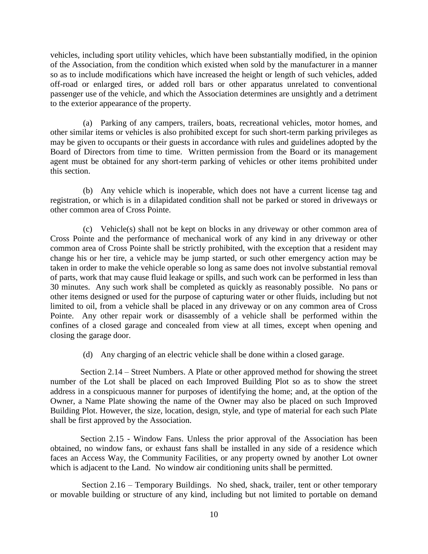vehicles, including sport utility vehicles, which have been substantially modified, in the opinion of the Association, from the condition which existed when sold by the manufacturer in a manner so as to include modifications which have increased the height or length of such vehicles, added off-road or enlarged tires, or added roll bars or other apparatus unrelated to conventional passenger use of the vehicle, and which the Association determines are unsightly and a detriment to the exterior appearance of the property.

(a) Parking of any campers, trailers, boats, recreational vehicles, motor homes, and other similar items or vehicles is also prohibited except for such short-term parking privileges as may be given to occupants or their guests in accordance with rules and guidelines adopted by the Board of Directors from time to time. Written permission from the Board or its management agent must be obtained for any short-term parking of vehicles or other items prohibited under this section.

(b) Any vehicle which is inoperable, which does not have a current license tag and registration, or which is in a dilapidated condition shall not be parked or stored in driveways or other common area of Cross Pointe.

(c) Vehicle(s) shall not be kept on blocks in any driveway or other common area of Cross Pointe and the performance of mechanical work of any kind in any driveway or other common area of Cross Pointe shall be strictly prohibited, with the exception that a resident may change his or her tire, a vehicle may be jump started, or such other emergency action may be taken in order to make the vehicle operable so long as same does not involve substantial removal of parts, work that may cause fluid leakage or spills, and such work can be performed in less than 30 minutes. Any such work shall be completed as quickly as reasonably possible. No pans or other items designed or used for the purpose of capturing water or other fluids, including but not limited to oil, from a vehicle shall be placed in any driveway or on any common area of Cross Pointe. Any other repair work or disassembly of a vehicle shall be performed within the confines of a closed garage and concealed from view at all times, except when opening and closing the garage door.

(d) Any charging of an electric vehicle shall be done within a closed garage.

Section 2.14 – Street Numbers. A Plate or other approved method for showing the street number of the Lot shall be placed on each Improved Building Plot so as to show the street address in a conspicuous manner for purposes of identifying the home; and, at the option of the Owner, a Name Plate showing the name of the Owner may also be placed on such Improved Building Plot. However, the size, location, design, style, and type of material for each such Plate shall be first approved by the Association.

Section 2.15 - Window Fans. Unless the prior approval of the Association has been obtained, no window fans, or exhaust fans shall be installed in any side of a residence which faces an Access Way, the Community Facilities, or any property owned by another Lot owner which is adjacent to the Land. No window air conditioning units shall be permitted.

Section 2.16 – Temporary Buildings. No shed, shack, trailer, tent or other temporary or movable building or structure of any kind, including but not limited to portable on demand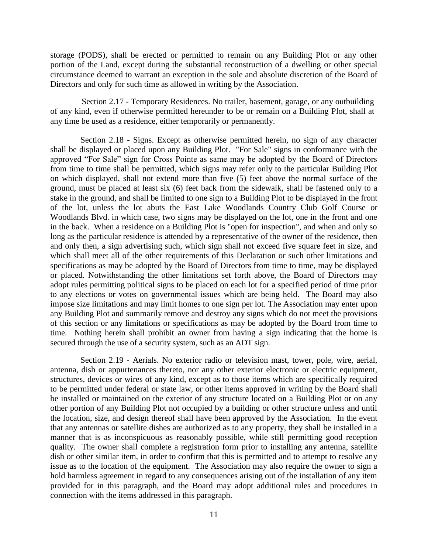storage (PODS), shall be erected or permitted to remain on any Building Plot or any other portion of the Land, except during the substantial reconstruction of a dwelling or other special circumstance deemed to warrant an exception in the sole and absolute discretion of the Board of Directors and only for such time as allowed in writing by the Association.

Section 2.17 - Temporary Residences. No trailer, basement, garage, or any outbuilding of any kind, even if otherwise permitted hereunder to be or remain on a Building Plot, shall at any time be used as a residence, either temporarily or permanently.

Section 2.18 - Signs. Except as otherwise permitted herein, no sign of any character shall be displayed or placed upon any Building Plot. "For Sale" signs in conformance with the approved "For Sale" sign for Cross Pointe as same may be adopted by the Board of Directors from time to time shall be permitted, which signs may refer only to the particular Building Plot on which displayed, shall not extend more than five (5) feet above the normal surface of the ground, must be placed at least six (6) feet back from the sidewalk, shall be fastened only to a stake in the ground, and shall be limited to one sign to a Building Plot to be displayed in the front of the lot, unless the lot abuts the East Lake Woodlands Country Club Golf Course or Woodlands Blvd. in which case, two signs may be displayed on the lot, one in the front and one in the back. When a residence on a Building Plot is "open for inspection", and when and only so long as the particular residence is attended by a representative of the owner of the residence, then and only then, a sign advertising such, which sign shall not exceed five square feet in size, and which shall meet all of the other requirements of this Declaration or such other limitations and specifications as may be adopted by the Board of Directors from time to time, may be displayed or placed. Notwithstanding the other limitations set forth above, the Board of Directors may adopt rules permitting political signs to be placed on each lot for a specified period of time prior to any elections or votes on governmental issues which are being held. The Board may also impose size limitations and may limit homes to one sign per lot. The Association may enter upon any Building Plot and summarily remove and destroy any signs which do not meet the provisions of this section or any limitations or specifications as may be adopted by the Board from time to time. Nothing herein shall prohibit an owner from having a sign indicating that the home is secured through the use of a security system, such as an ADT sign.

Section 2.19 - Aerials. No exterior radio or television mast, tower, pole, wire, aerial, antenna, dish or appurtenances thereto, nor any other exterior electronic or electric equipment, structures, devices or wires of any kind, except as to those items which are specifically required to be permitted under federal or state law, or other items approved in writing by the Board shall be installed or maintained on the exterior of any structure located on a Building Plot or on any other portion of any Building Plot not occupied by a building or other structure unless and until the location, size, and design thereof shall have been approved by the Association. In the event that any antennas or satellite dishes are authorized as to any property, they shall be installed in a manner that is as inconspicuous as reasonably possible, while still permitting good reception quality. The owner shall complete a registration form prior to installing any antenna, satellite dish or other similar item, in order to confirm that this is permitted and to attempt to resolve any issue as to the location of the equipment. The Association may also require the owner to sign a hold harmless agreement in regard to any consequences arising out of the installation of any item provided for in this paragraph, and the Board may adopt additional rules and procedures in connection with the items addressed in this paragraph.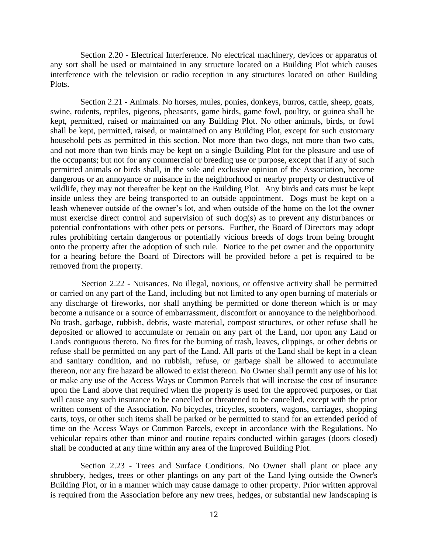Section 2.20 - Electrical Interference. No electrical machinery, devices or apparatus of any sort shall be used or maintained in any structure located on a Building Plot which causes interference with the television or radio reception in any structures located on other Building Plots.

Section 2.21 - Animals. No horses, mules, ponies, donkeys, burros, cattle, sheep, goats, swine, rodents, reptiles, pigeons, pheasants, game birds, game fowl, poultry, or guinea shall be kept, permitted, raised or maintained on any Building Plot. No other animals, birds, or fowl shall be kept, permitted, raised, or maintained on any Building Plot, except for such customary household pets as permitted in this section. Not more than two dogs, not more than two cats, and not more than two birds may be kept on a single Building Plot for the pleasure and use of the occupants; but not for any commercial or breeding use or purpose, except that if any of such permitted animals or birds shall, in the sole and exclusive opinion of the Association, become dangerous or an annoyance or nuisance in the neighborhood or nearby property or destructive of wildlife, they may not thereafter be kept on the Building Plot. Any birds and cats must be kept inside unless they are being transported to an outside appointment. Dogs must be kept on a leash whenever outside of the owner's lot, and when outside of the home on the lot the owner must exercise direct control and supervision of such dog(s) as to prevent any disturbances or potential confrontations with other pets or persons. Further, the Board of Directors may adopt rules prohibiting certain dangerous or potentially vicious breeds of dogs from being brought onto the property after the adoption of such rule. Notice to the pet owner and the opportunity for a hearing before the Board of Directors will be provided before a pet is required to be removed from the property.

Section 2.22 - Nuisances. No illegal, noxious, or offensive activity shall be permitted or carried on any part of the Land, including but not limited to any open burning of materials or any discharge of fireworks, nor shall anything be permitted or done thereon which is or may become a nuisance or a source of embarrassment, discomfort or annoyance to the neighborhood. No trash, garbage, rubbish, debris, waste material, compost structures, or other refuse shall be deposited or allowed to accumulate or remain on any part of the Land, nor upon any Land or Lands contiguous thereto. No fires for the burning of trash, leaves, clippings, or other debris or refuse shall be permitted on any part of the Land. All parts of the Land shall be kept in a clean and sanitary condition, and no rubbish, refuse, or garbage shall be allowed to accumulate thereon, nor any fire hazard be allowed to exist thereon. No Owner shall permit any use of his lot or make any use of the Access Ways or Common Parcels that will increase the cost of insurance upon the Land above that required when the property is used for the approved purposes, or that will cause any such insurance to be cancelled or threatened to be cancelled, except with the prior written consent of the Association. No bicycles, tricycles, scooters, wagons, carriages, shopping carts, toys, or other such items shall be parked or be permitted to stand for an extended period of time on the Access Ways or Common Parcels, except in accordance with the Regulations. No vehicular repairs other than minor and routine repairs conducted within garages (doors closed) shall be conducted at any time within any area of the Improved Building Plot.

Section 2.23 - Trees and Surface Conditions. No Owner shall plant or place any shrubbery, hedges, trees or other plantings on any part of the Land lying outside the Owner's Building Plot, or in a manner which may cause damage to other property. Prior written approval is required from the Association before any new trees, hedges, or substantial new landscaping is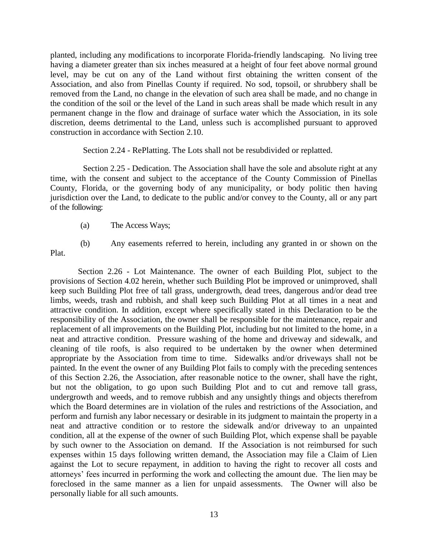planted, including any modifications to incorporate Florida-friendly landscaping. No living tree having a diameter greater than six inches measured at a height of four feet above normal ground level, may be cut on any of the Land without first obtaining the written consent of the Association, and also from Pinellas County if required. No sod, topsoil, or shrubbery shall be removed from the Land, no change in the elevation of such area shall be made, and no change in the condition of the soil or the level of the Land in such areas shall be made which result in any permanent change in the flow and drainage of surface water which the Association, in its sole discretion, deems detrimental to the Land, unless such is accomplished pursuant to approved construction in accordance with Section 2.10.

Section 2.24 - RePlatting. The Lots shall not be resubdivided or replatted.

Section 2.25 - Dedication. The Association shall have the sole and absolute right at any time, with the consent and subject to the acceptance of the County Commission of Pinellas County, Florida, or the governing body of any municipality, or body politic then having jurisdiction over the Land, to dedicate to the public and/or convey to the County, all or any part of the following:

(b) Any easements referred to herein, including any granted in or shown on the

(a) The Access Ways;

Plat.

Section 2.26 - Lot Maintenance. The owner of each Building Plot, subject to the provisions of Section 4.02 herein, whether such Building Plot be improved or unimproved, shall keep such Building Plot free of tall grass, undergrowth, dead trees, dangerous and/or dead tree limbs, weeds, trash and rubbish, and shall keep such Building Plot at all times in a neat and attractive condition. In addition, except where specifically stated in this Declaration to be the responsibility of the Association, the owner shall be responsible for the maintenance, repair and replacement of all improvements on the Building Plot, including but not limited to the home, in a neat and attractive condition. Pressure washing of the home and driveway and sidewalk, and cleaning of tile roofs, is also required to be undertaken by the owner when determined appropriate by the Association from time to time. Sidewalks and/or driveways shall not be painted. In the event the owner of any Building Plot fails to comply with the preceding sentences of this Section 2.26, the Association, after reasonable notice to the owner, shall have the right, but not the obligation, to go upon such Building Plot and to cut and remove tall grass, undergrowth and weeds, and to remove rubbish and any unsightly things and objects therefrom which the Board determines are in violation of the rules and restrictions of the Association, and perform and furnish any labor necessary or desirable in its judgment to maintain the property in a neat and attractive condition or to restore the sidewalk and/or driveway to an unpainted condition, all at the expense of the owner of such Building Plot, which expense shall be payable by such owner to the Association on demand. If the Association is not reimbursed for such expenses within 15 days following written demand, the Association may file a Claim of Lien against the Lot to secure repayment, in addition to having the right to recover all costs and attorneys' fees incurred in performing the work and collecting the amount due. The lien may be foreclosed in the same manner as a lien for unpaid assessments. The Owner will also be personally liable for all such amounts.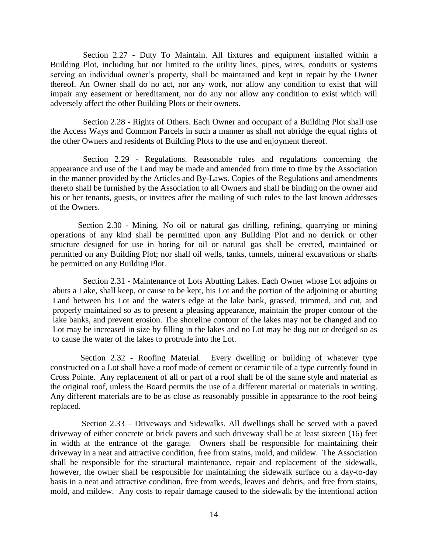Section 2.27 - Duty To Maintain. All fixtures and equipment installed within a Building Plot, including but not limited to the utility lines, pipes, wires, conduits or systems serving an individual owner's property, shall be maintained and kept in repair by the Owner thereof. An Owner shall do no act, nor any work, nor allow any condition to exist that will impair any easement or hereditament, nor do any nor allow any condition to exist which will adversely affect the other Building Plots or their owners.

Section 2.28 - Rights of Others. Each Owner and occupant of a Building Plot shall use the Access Ways and Common Parcels in such a manner as shall not abridge the equal rights of the other Owners and residents of Building Plots to the use and enjoyment thereof.

Section 2.29 - Regulations. Reasonable rules and regulations concerning the appearance and use of the Land may be made and amended from time to time by the Association in the manner provided by the Articles and By-Laws. Copies of the Regulations and amendments thereto shall be furnished by the Association to all Owners and shall be binding on the owner and his or her tenants, guests, or invitees after the mailing of such rules to the last known addresses of the Owners.

Section 2.30 - Mining. No oil or natural gas drilling, refining, quarrying or mining operations of any kind shall be permitted upon any Building Plot and no derrick or other structure designed for use in boring for oil or natural gas shall be erected, maintained or permitted on any Building Plot; nor shall oil wells, tanks, tunnels, mineral excavations or shafts be permitted on any Building Plot.

Section 2.31 - Maintenance of Lots Abutting Lakes. Each Owner whose Lot adjoins or abuts a Lake, shall keep, or cause to be kept, his Lot and the portion of the adjoining or abutting Land between his Lot and the water's edge at the lake bank, grassed, trimmed, and cut, and properly maintained so as to present a pleasing appearance, maintain the proper contour of the lake banks, and prevent erosion. The shoreline contour of the lakes may not be changed and no Lot may be increased in size by filling in the lakes and no Lot may be dug out or dredged so as to cause the water of the lakes to protrude into the Lot.

Section 2.32 - Roofing Material. Every dwelling or building of whatever type constructed on a Lot shall have a roof made of cement or ceramic tile of a type currently found in Cross Pointe. Any replacement of all or part of a roof shall be of the same style and material as the original roof, unless the Board permits the use of a different material or materials in writing. Any different materials are to be as close as reasonably possible in appearance to the roof being replaced.

Section 2.33 – Driveways and Sidewalks. All dwellings shall be served with a paved driveway of either concrete or brick pavers and such driveway shall be at least sixteen (16) feet in width at the entrance of the garage. Owners shall be responsible for maintaining their driveway in a neat and attractive condition, free from stains, mold, and mildew. The Association shall be responsible for the structural maintenance, repair and replacement of the sidewalk, however, the owner shall be responsible for maintaining the sidewalk surface on a day-to-day basis in a neat and attractive condition, free from weeds, leaves and debris, and free from stains, mold, and mildew. Any costs to repair damage caused to the sidewalk by the intentional action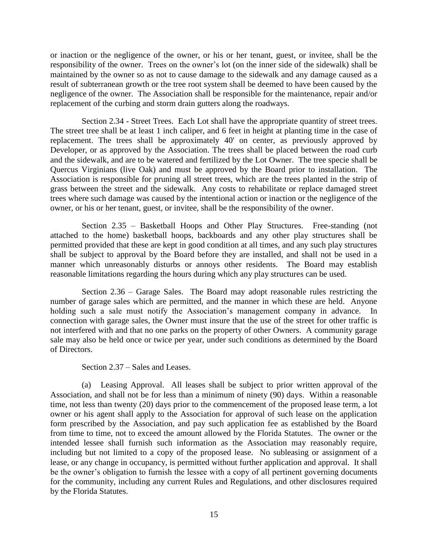or inaction or the negligence of the owner, or his or her tenant, guest, or invitee, shall be the responsibility of the owner. Trees on the owner's lot (on the inner side of the sidewalk) shall be maintained by the owner so as not to cause damage to the sidewalk and any damage caused as a result of subterranean growth or the tree root system shall be deemed to have been caused by the negligence of the owner. The Association shall be responsible for the maintenance, repair and/or replacement of the curbing and storm drain gutters along the roadways.

Section 2.34 - Street Trees. Each Lot shall have the appropriate quantity of street trees. The street tree shall be at least 1 inch caliper, and 6 feet in height at planting time in the case of replacement. The trees shall be approximately 40' on center, as previously approved by Developer, or as approved by the Association. The trees shall be placed between the road curb and the sidewalk, and are to be watered and fertilized by the Lot Owner. The tree specie shall be Quercus Virginians (live Oak) and must be approved by the Board prior to installation. The Association is responsible for pruning all street trees, which are the trees planted in the strip of grass between the street and the sidewalk. Any costs to rehabilitate or replace damaged street trees where such damage was caused by the intentional action or inaction or the negligence of the owner, or his or her tenant, guest, or invitee, shall be the responsibility of the owner.

Section 2.35 – Basketball Hoops and Other Play Structures. Free-standing (not attached to the home) basketball hoops, backboards and any other play structures shall be permitted provided that these are kept in good condition at all times, and any such play structures shall be subject to approval by the Board before they are installed, and shall not be used in a manner which unreasonably disturbs or annoys other residents. The Board may establish reasonable limitations regarding the hours during which any play structures can be used.

Section 2.36 – Garage Sales. The Board may adopt reasonable rules restricting the number of garage sales which are permitted, and the manner in which these are held. Anyone holding such a sale must notify the Association's management company in advance. In connection with garage sales, the Owner must insure that the use of the street for other traffic is not interfered with and that no one parks on the property of other Owners. A community garage sale may also be held once or twice per year, under such conditions as determined by the Board of Directors.

Section 2.37 – Sales and Leases.

(a) Leasing Approval. All leases shall be subject to prior written approval of the Association, and shall not be for less than a minimum of ninety (90) days. Within a reasonable time, not less than twenty (20) days prior to the commencement of the proposed lease term, a lot owner or his agent shall apply to the Association for approval of such lease on the application form prescribed by the Association, and pay such application fee as established by the Board from time to time, not to exceed the amount allowed by the Florida Statutes. The owner or the intended lessee shall furnish such information as the Association may reasonably require, including but not limited to a copy of the proposed lease. No subleasing or assignment of a lease, or any change in occupancy, is permitted without further application and approval. It shall be the owner's obligation to furnish the lessee with a copy of all pertinent governing documents for the community, including any current Rules and Regulations, and other disclosures required by the Florida Statutes.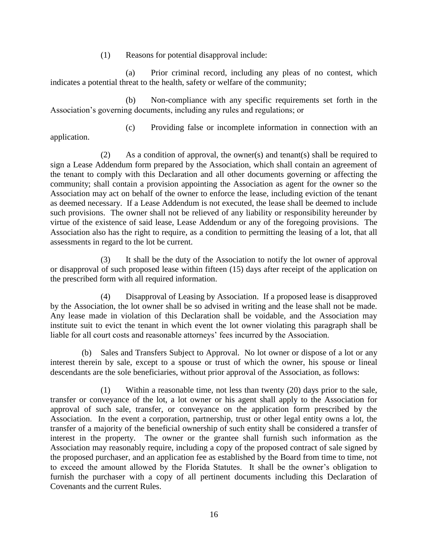(1) Reasons for potential disapproval include:

(a) Prior criminal record, including any pleas of no contest, which indicates a potential threat to the health, safety or welfare of the community;

(b) Non-compliance with any specific requirements set forth in the Association's governing documents, including any rules and regulations; or

application.

(c) Providing false or incomplete information in connection with an

(2) As a condition of approval, the owner(s) and tenant(s) shall be required to sign a Lease Addendum form prepared by the Association, which shall contain an agreement of the tenant to comply with this Declaration and all other documents governing or affecting the community; shall contain a provision appointing the Association as agent for the owner so the Association may act on behalf of the owner to enforce the lease, including eviction of the tenant as deemed necessary. If a Lease Addendum is not executed, the lease shall be deemed to include such provisions. The owner shall not be relieved of any liability or responsibility hereunder by virtue of the existence of said lease, Lease Addendum or any of the foregoing provisions. The Association also has the right to require, as a condition to permitting the leasing of a lot, that all assessments in regard to the lot be current.

(3) It shall be the duty of the Association to notify the lot owner of approval or disapproval of such proposed lease within fifteen (15) days after receipt of the application on the prescribed form with all required information.

(4) Disapproval of Leasing by Association. If a proposed lease is disapproved by the Association, the lot owner shall be so advised in writing and the lease shall not be made. Any lease made in violation of this Declaration shall be voidable, and the Association may institute suit to evict the tenant in which event the lot owner violating this paragraph shall be liable for all court costs and reasonable attorneys' fees incurred by the Association.

(b) Sales and Transfers Subject to Approval. No lot owner or dispose of a lot or any interest therein by sale, except to a spouse or trust of which the owner, his spouse or lineal descendants are the sole beneficiaries, without prior approval of the Association, as follows:

(1) Within a reasonable time, not less than twenty (20) days prior to the sale, transfer or conveyance of the lot, a lot owner or his agent shall apply to the Association for approval of such sale, transfer, or conveyance on the application form prescribed by the Association. In the event a corporation, partnership, trust or other legal entity owns a lot, the transfer of a majority of the beneficial ownership of such entity shall be considered a transfer of interest in the property. The owner or the grantee shall furnish such information as the Association may reasonably require, including a copy of the proposed contract of sale signed by the proposed purchaser, and an application fee as established by the Board from time to time, not to exceed the amount allowed by the Florida Statutes. It shall be the owner's obligation to furnish the purchaser with a copy of all pertinent documents including this Declaration of Covenants and the current Rules.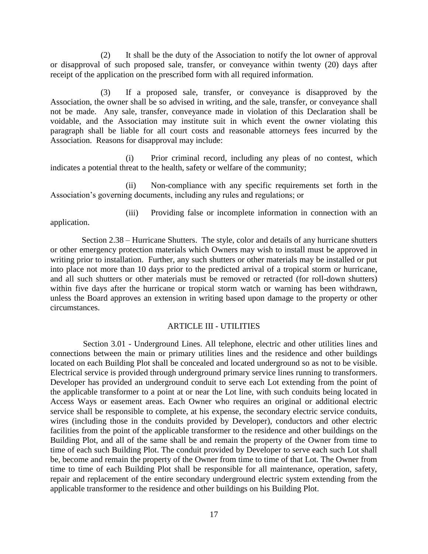(2) It shall be the duty of the Association to notify the lot owner of approval or disapproval of such proposed sale, transfer, or conveyance within twenty (20) days after receipt of the application on the prescribed form with all required information.

(3) If a proposed sale, transfer, or conveyance is disapproved by the Association, the owner shall be so advised in writing, and the sale, transfer, or conveyance shall not be made. Any sale, transfer, conveyance made in violation of this Declaration shall be voidable, and the Association may institute suit in which event the owner violating this paragraph shall be liable for all court costs and reasonable attorneys fees incurred by the Association. Reasons for disapproval may include:

(i) Prior criminal record, including any pleas of no contest, which indicates a potential threat to the health, safety or welfare of the community;

(ii) Non-compliance with any specific requirements set forth in the Association's governing documents, including any rules and regulations; or

(iii) Providing false or incomplete information in connection with an application.

Section 2.38 – Hurricane Shutters. The style, color and details of any hurricane shutters or other emergency protection materials which Owners may wish to install must be approved in writing prior to installation. Further, any such shutters or other materials may be installed or put into place not more than 10 days prior to the predicted arrival of a tropical storm or hurricane, and all such shutters or other materials must be removed or retracted (for roll-down shutters) within five days after the hurricane or tropical storm watch or warning has been withdrawn, unless the Board approves an extension in writing based upon damage to the property or other circumstances.

#### ARTICLE III - UTILITIES

Section 3.01 - Underground Lines. All telephone, electric and other utilities lines and connections between the main or primary utilities lines and the residence and other buildings located on each Building Plot shall be concealed and located underground so as not to be visible. Electrical service is provided through underground primary service lines running to transformers. Developer has provided an underground conduit to serve each Lot extending from the point of the applicable transformer to a point at or near the Lot line, with such conduits being located in Access Ways or easement areas. Each Owner who requires an original or additional electric service shall be responsible to complete, at his expense, the secondary electric service conduits, wires (including those in the conduits provided by Developer), conductors and other electric facilities from the point of the applicable transformer to the residence and other buildings on the Building Plot, and all of the same shall be and remain the property of the Owner from time to time of each such Building Plot. The conduit provided by Developer to serve each such Lot shall be, become and remain the property of the Owner from time to time of that Lot. The Owner from time to time of each Building Plot shall be responsible for all maintenance, operation, safety, repair and replacement of the entire secondary underground electric system extending from the applicable transformer to the residence and other buildings on his Building Plot.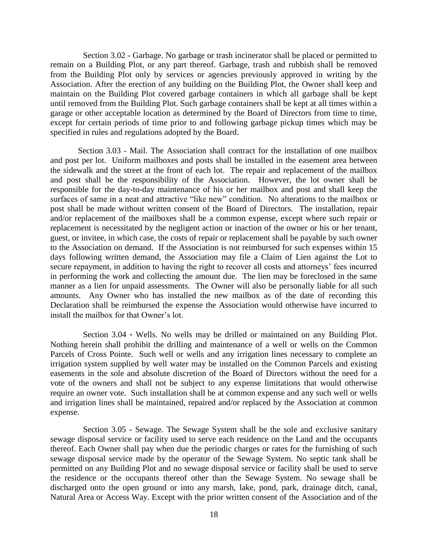Section 3.02 - Garbage. No garbage or trash incinerator shall be placed or permitted to remain on a Building Plot, or any part thereof. Garbage, trash and rubbish shall be removed from the Building Plot only by services or agencies previously approved in writing by the Association. After the erection of any building on the Building Plot, the Owner shall keep and maintain on the Building Plot covered garbage containers in which all garbage shall be kept until removed from the Building Plot. Such garbage containers shall be kept at all times within a garage or other acceptable location as determined by the Board of Directors from time to time, except for certain periods of time prior to and following garbage pickup times which may be specified in rules and regulations adopted by the Board.

Section 3.03 - Mail. The Association shall contract for the installation of one mailbox and post per lot. Uniform mailboxes and posts shall be installed in the easement area between the sidewalk and the street at the front of each lot. The repair and replacement of the mailbox and post shall be the responsibility of the Association. However, the lot owner shall be responsible for the day-to-day maintenance of his or her mailbox and post and shall keep the surfaces of same in a neat and attractive "like new" condition. No alterations to the mailbox or post shall be made without written consent of the Board of Directors. The installation, repair and/or replacement of the mailboxes shall be a common expense, except where such repair or replacement is necessitated by the negligent action or inaction of the owner or his or her tenant, guest, or invitee, in which case, the costs of repair or replacement shall be payable by such owner to the Association on demand. If the Association is not reimbursed for such expenses within 15 days following written demand, the Association may file a Claim of Lien against the Lot to secure repayment, in addition to having the right to recover all costs and attorneys' fees incurred in performing the work and collecting the amount due. The lien may be foreclosed in the same manner as a lien for unpaid assessments. The Owner will also be personally liable for all such amounts. Any Owner who has installed the new mailbox as of the date of recording this Declaration shall be reimbursed the expense the Association would otherwise have incurred to install the mailbox for that Owner's lot.

Section 3.04 - Wells. No wells may be drilled or maintained on any Building Plot. Nothing herein shall prohibit the drilling and maintenance of a well or wells on the Common Parcels of Cross Pointe. Such well or wells and any irrigation lines necessary to complete an irrigation system supplied by well water may be installed on the Common Parcels and existing easements in the sole and absolute discretion of the Board of Directors without the need for a vote of the owners and shall not be subject to any expense limitations that would otherwise require an owner vote. Such installation shall be at common expense and any such well or wells and irrigation lines shall be maintained, repaired and/or replaced by the Association at common expense.

Section 3.05 - Sewage. The Sewage System shall be the sole and exclusive sanitary sewage disposal service or facility used to serve each residence on the Land and the occupants thereof. Each Owner shall pay when due the periodic charges or rates for the furnishing of such sewage disposal service made by the operator of the Sewage System. No septic tank shall be permitted on any Building Plot and no sewage disposal service or facility shall be used to serve the residence or the occupants thereof other than the Sewage System. No sewage shall be discharged onto the open ground or into any marsh, lake, pond, park, drainage ditch, canal, Natural Area or Access Way. Except with the prior written consent of the Association and of the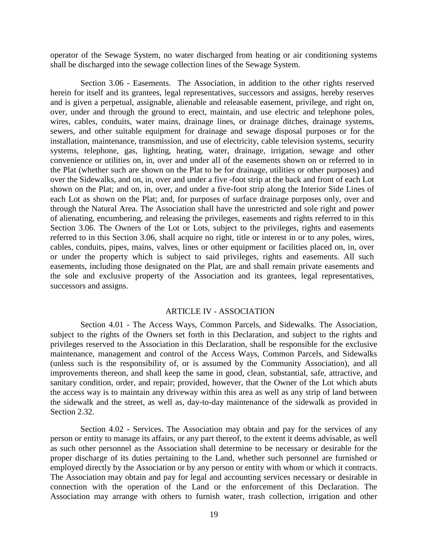operator of the Sewage System, no water discharged from heating or air conditioning systems shall be discharged into the sewage collection lines of the Sewage System.

Section 3.06 - Easements. The Association, in addition to the other rights reserved herein for itself and its grantees, legal representatives, successors and assigns, hereby reserves and is given a perpetual, assignable, alienable and releasable easement, privilege, and right on, over, under and through the ground to erect, maintain, and use electric and telephone poles, wires, cables, conduits, water mains, drainage lines, or drainage ditches, drainage systems, sewers, and other suitable equipment for drainage and sewage disposal purposes or for the installation, maintenance, transmission, and use of electricity, cable television systems, security systems, telephone, gas, lighting, heating, water, drainage, irrigation, sewage and other convenience or utilities on, in, over and under all of the easements shown on or referred to in the Plat (whether such are shown on the Plat to be for drainage, utilities or other purposes) and over the Sidewalks, and on, in, over and under a five -foot strip at the back and front of each Lot shown on the Plat; and on, in, over, and under a five-foot strip along the Interior Side Lines of each Lot as shown on the Plat; and, for purposes of surface drainage purposes only, over and through the Natural Area. The Association shall have the unrestricted and sole right and power of alienating, encumbering, and releasing the privileges, easements and rights referred to in this Section 3.06. The Owners of the Lot or Lots, subject to the privileges, rights and easements referred to in this Section 3.06, shall acquire no right, title or interest in or to any poles, wires, cables, conduits, pipes, mains, valves, lines or other equipment or facilities placed on, in, over or under the property which is subject to said privileges, rights and easements. All such easements, including those designated on the Plat, are and shall remain private easements and the sole and exclusive property of the Association and its grantees, legal representatives, successors and assigns.

### ARTICLE IV - ASSOCIATION

Section 4.01 - The Access Ways, Common Parcels, and Sidewalks. The Association, subject to the rights of the Owners set forth in this Declaration, and subject to the rights and privileges reserved to the Association in this Declaration, shall be responsible for the exclusive maintenance, management and control of the Access Ways, Common Parcels, and Sidewalks (unless such is the responsibility of, or is assumed by the Community Association), and all improvements thereon, and shall keep the same in good, clean, substantial, safe, attractive, and sanitary condition, order, and repair; provided, however, that the Owner of the Lot which abuts the access way is to maintain any driveway within this area as well as any strip of land between the sidewalk and the street, as well as, day-to-day maintenance of the sidewalk as provided in Section 2.32.

Section 4.02 - Services. The Association may obtain and pay for the services of any person or entity to manage its affairs, or any part thereof, to the extent it deems advisable, as well as such other personnel as the Association shall determine to be necessary or desirable for the proper discharge of its duties pertaining to the Land, whether such personnel are furnished or employed directly by the Association or by any person or entity with whom or which it contracts. The Association may obtain and pay for legal and accounting services necessary or desirable in connection with the operation of the Land or the enforcement of this Declaration. The Association may arrange with others to furnish water, trash collection, irrigation and other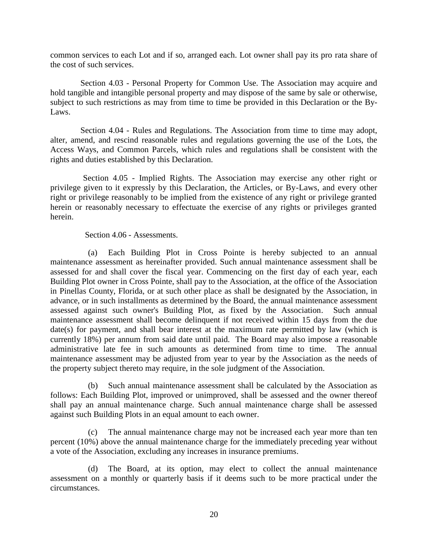common services to each Lot and if so, arranged each. Lot owner shall pay its pro rata share of the cost of such services.

Section 4.03 - Personal Property for Common Use. The Association may acquire and hold tangible and intangible personal property and may dispose of the same by sale or otherwise, subject to such restrictions as may from time to time be provided in this Declaration or the By-Laws.

Section 4.04 - Rules and Regulations. The Association from time to time may adopt, alter, amend, and rescind reasonable rules and regulations governing the use of the Lots, the Access Ways, and Common Parcels, which rules and regulations shall be consistent with the rights and duties established by this Declaration.

Section 4.05 - Implied Rights. The Association may exercise any other right or privilege given to it expressly by this Declaration, the Articles, or By-Laws, and every other right or privilege reasonably to be implied from the existence of any right or privilege granted herein or reasonably necessary to effectuate the exercise of any rights or privileges granted herein.

Section 4.06 - Assessments.

(a) Each Building Plot in Cross Pointe is hereby subjected to an annual maintenance assessment as hereinafter provided. Such annual maintenance assessment shall be assessed for and shall cover the fiscal year. Commencing on the first day of each year, each Building Plot owner in Cross Pointe, shall pay to the Association, at the office of the Association in Pinellas County, Florida, or at such other place as shall be designated by the Association, in advance, or in such installments as determined by the Board, the annual maintenance assessment assessed against such owner's Building Plot, as fixed by the Association. Such annual maintenance assessment shall become delinquent if not received within 15 days from the due date(s) for payment, and shall bear interest at the maximum rate permitted by law (which is currently 18%) per annum from said date until paid. The Board may also impose a reasonable administrative late fee in such amounts as determined from time to time. The annual maintenance assessment may be adjusted from year to year by the Association as the needs of the property subject thereto may require, in the sole judgment of the Association.

(b) Such annual maintenance assessment shall be calculated by the Association as follows: Each Building Plot, improved or unimproved, shall be assessed and the owner thereof shall pay an annual maintenance charge. Such annual maintenance charge shall be assessed against such Building Plots in an equal amount to each owner.

(c) The annual maintenance charge may not be increased each year more than ten percent (10%) above the annual maintenance charge for the immediately preceding year without a vote of the Association, excluding any increases in insurance premiums.

(d) The Board, at its option, may elect to collect the annual maintenance assessment on a monthly or quarterly basis if it deems such to be more practical under the circumstances.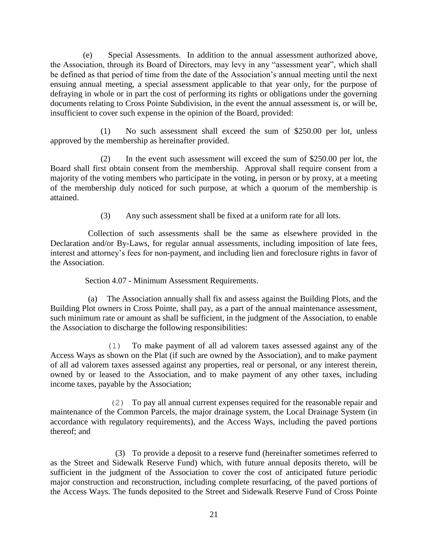(e) Special Assessments. In addition to the annual assessment authorized above, the Association, through its Board of Directors, may levy in any "assessment year", which shall be defined as that period of time from the date of the Association's annual meeting until the next ensuing annual meeting, a special assessment applicable to that year only, for the purpose of defraying in whole or in part the cost of performing its rights or obligations under the governing documents relating to Cross Pointe Subdivision, in the event the annual assessment is, or will be, insufficient to cover such expense in the opinion of the Board, provided:

(1) No such assessment shall exceed the sum of \$250.00 per lot, unless approved by the membership as hereinafter provided.

(2) In the event such assessment will exceed the sum of \$250.00 per lot, the Board shall first obtain consent from the membership. Approval shall require consent from a majority of the voting members who participate in the voting, in person or by proxy, at a meeting of the membership duly noticed for such purpose, at which a quorum of the membership is attained.

(3) Any such assessment shall be fixed at a uniform rate for all lots.

Collection of such assessments shall be the same as elsewhere provided in the Declaration and/or By-Laws, for regular annual assessments, including imposition of late fees, interest and attorney's fees for non-payment, and including lien and foreclosure rights in favor of the Association.

Section 4.07 - Minimum Assessment Requirements.

(a) The Association annually shall fix and assess against the Building Plots, and the Building Plot owners in Cross Pointe, shall pay, as a part of the annual maintenance assessment, such minimum rate or amount as shall be sufficient, in the judgment of the Association, to enable the Association to discharge the following responsibilities:

(1) To make payment of all ad valorem taxes assessed against any of the Access Ways as shown on the Plat (if such are owned by the Association), and to make payment of all ad valorem taxes assessed against any properties, real or personal, or any interest therein, owned by or leased to the Association, and to make payment of any other taxes, including income taxes, payable by the Association;

(2) To pay all annual current expenses required for the reasonable repair and maintenance of the Common Parcels, the major drainage system, the Local Drainage System (in accordance with regulatory requirements), and the Access Ways, including the paved portions thereof; and

(3) To provide a deposit to a reserve fund (hereinafter sometimes referred to as the Street and Sidewalk Reserve Fund) which, with future annual deposits thereto, will be sufficient in the judgment of the Association to cover the cost of anticipated future periodic major construction and reconstruction, including complete resurfacing, of the paved portions of the Access Ways. The funds deposited to the Street and Sidewalk Reserve Fund of Cross Pointe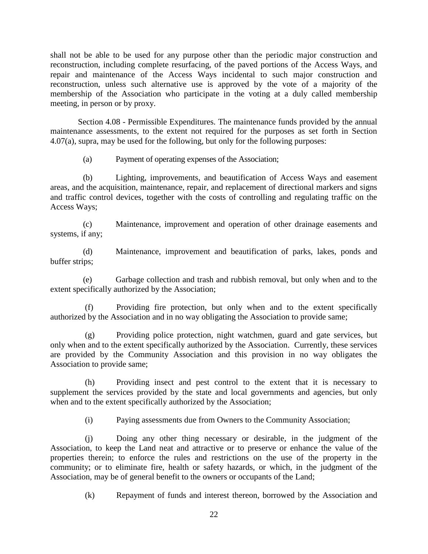shall not be able to be used for any purpose other than the periodic major construction and reconstruction, including complete resurfacing, of the paved portions of the Access Ways, and repair and maintenance of the Access Ways incidental to such major construction and reconstruction, unless such alternative use is approved by the vote of a majority of the membership of the Association who participate in the voting at a duly called membership meeting, in person or by proxy.

Section 4.08 - Permissible Expenditures. The maintenance funds provided by the annual maintenance assessments, to the extent not required for the purposes as set forth in Section 4.07(a), supra, may be used for the following, but only for the following purposes:

(a) Payment of operating expenses of the Association;

(b) Lighting, improvements, and beautification of Access Ways and easement areas, and the acquisition, maintenance, repair, and replacement of directional markers and signs and traffic control devices, together with the costs of controlling and regulating traffic on the Access Ways;

(c) Maintenance, improvement and operation of other drainage easements and systems, if any;

(d) Maintenance, improvement and beautification of parks, lakes, ponds and buffer strips;

(e) Garbage collection and trash and rubbish removal, but only when and to the extent specifically authorized by the Association;

Providing fire protection, but only when and to the extent specifically authorized by the Association and in no way obligating the Association to provide same;

(g) Providing police protection, night watchmen, guard and gate services, but only when and to the extent specifically authorized by the Association. Currently, these services are provided by the Community Association and this provision in no way obligates the Association to provide same;

(h) Providing insect and pest control to the extent that it is necessary to supplement the services provided by the state and local governments and agencies, but only when and to the extent specifically authorized by the Association;

(i) Paying assessments due from Owners to the Community Association;

(j) Doing any other thing necessary or desirable, in the judgment of the Association, to keep the Land neat and attractive or to preserve or enhance the value of the properties therein; to enforce the rules and restrictions on the use of the property in the community; or to eliminate fire, health or safety hazards, or which, in the judgment of the Association, may be of general benefit to the owners or occupants of the Land;

(k) Repayment of funds and interest thereon, borrowed by the Association and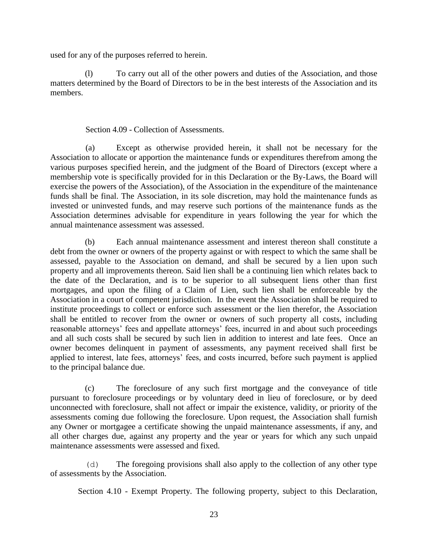used for any of the purposes referred to herein.

(l) To carry out all of the other powers and duties of the Association, and those matters determined by the Board of Directors to be in the best interests of the Association and its members.

## Section 4.09 - Collection of Assessments.

(a) Except as otherwise provided herein, it shall not be necessary for the Association to allocate or apportion the maintenance funds or expenditures therefrom among the various purposes specified herein, and the judgment of the Board of Directors (except where a membership vote is specifically provided for in this Declaration or the By-Laws, the Board will exercise the powers of the Association), of the Association in the expenditure of the maintenance funds shall be final. The Association, in its sole discretion, may hold the maintenance funds as invested or uninvested funds, and may reserve such portions of the maintenance funds as the Association determines advisable for expenditure in years following the year for which the annual maintenance assessment was assessed.

(b) Each annual maintenance assessment and interest thereon shall constitute a debt from the owner or owners of the property against or with respect to which the same shall be assessed, payable to the Association on demand, and shall be secured by a lien upon such property and all improvements thereon. Said lien shall be a continuing lien which relates back to the date of the Declaration, and is to be superior to all subsequent liens other than first mortgages, and upon the filing of a Claim of Lien, such lien shall be enforceable by the Association in a court of competent jurisdiction. In the event the Association shall be required to institute proceedings to collect or enforce such assessment or the lien therefor, the Association shall be entitled to recover from the owner or owners of such property all costs, including reasonable attorneys' fees and appellate attorneys' fees, incurred in and about such proceedings and all such costs shall be secured by such lien in addition to interest and late fees. Once an owner becomes delinquent in payment of assessments, any payment received shall first be applied to interest, late fees, attorneys' fees, and costs incurred, before such payment is applied to the principal balance due.

(c) The foreclosure of any such first mortgage and the conveyance of title pursuant to foreclosure proceedings or by voluntary deed in lieu of foreclosure, or by deed unconnected with foreclosure, shall not affect or impair the existence, validity, or priority of the assessments coming due following the foreclosure. Upon request, the Association shall furnish any Owner or mortgagee a certificate showing the unpaid maintenance assessments, if any, and all other charges due, against any property and the year or years for which any such unpaid maintenance assessments were assessed and fixed.

(d) The foregoing provisions shall also apply to the collection of any other type of assessments by the Association.

Section 4.10 - Exempt Property. The following property, subject to this Declaration,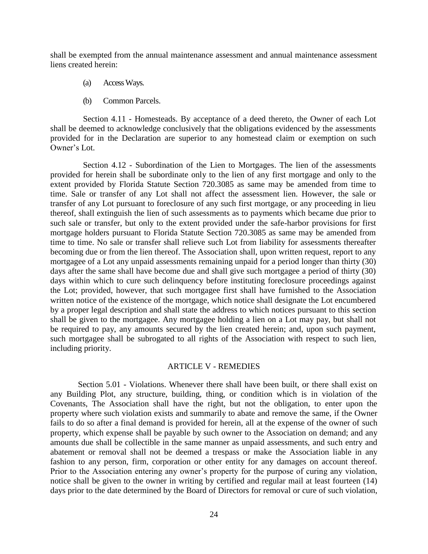shall be exempted from the annual maintenance assessment and annual maintenance assessment liens created herein:

- (a) Access Ways.
- (b) Common Parcels.

Section 4.11 - Homesteads. By acceptance of a deed thereto, the Owner of each Lot shall be deemed to acknowledge conclusively that the obligations evidenced by the assessments provided for in the Declaration are superior to any homestead claim or exemption on such Owner's Lot.

Section 4.12 - Subordination of the Lien to Mortgages. The lien of the assessments provided for herein shall be subordinate only to the lien of any first mortgage and only to the extent provided by Florida Statute Section 720.3085 as same may be amended from time to time. Sale or transfer of any Lot shall not affect the assessment lien. However, the sale or transfer of any Lot pursuant to foreclosure of any such first mortgage, or any proceeding in lieu thereof, shall extinguish the lien of such assessments as to payments which became due prior to such sale or transfer, but only to the extent provided under the safe-harbor provisions for first mortgage holders pursuant to Florida Statute Section 720.3085 as same may be amended from time to time. No sale or transfer shall relieve such Lot from liability for assessments thereafter becoming due or from the lien thereof. The Association shall, upon written request, report to any mortgagee of a Lot any unpaid assessments remaining unpaid for a period longer than thirty (30) days after the same shall have become due and shall give such mortgagee a period of thirty (30) days within which to cure such delinquency before instituting foreclosure proceedings against the Lot; provided, however, that such mortgagee first shall have furnished to the Association written notice of the existence of the mortgage, which notice shall designate the Lot encumbered by a proper legal description and shall state the address to which notices pursuant to this section shall be given to the mortgagee. Any mortgagee holding a lien on a Lot may pay, but shall not be required to pay, any amounts secured by the lien created herein; and, upon such payment, such mortgagee shall be subrogated to all rights of the Association with respect to such lien, including priority.

#### ARTICLE V - REMEDIES

Section 5.01 - Violations. Whenever there shall have been built, or there shall exist on any Building Plot, any structure, building, thing, or condition which is in violation of the Covenants, The Association shall have the right, but not the obligation, to enter upon the property where such violation exists and summarily to abate and remove the same, if the Owner fails to do so after a final demand is provided for herein, all at the expense of the owner of such property, which expense shall be payable by such owner to the Association on demand; and any amounts due shall be collectible in the same manner as unpaid assessments, and such entry and abatement or removal shall not be deemed a trespass or make the Association liable in any fashion to any person, firm, corporation or other entity for any damages on account thereof. Prior to the Association entering any owner's property for the purpose of curing any violation, notice shall be given to the owner in writing by certified and regular mail at least fourteen (14) days prior to the date determined by the Board of Directors for removal or cure of such violation,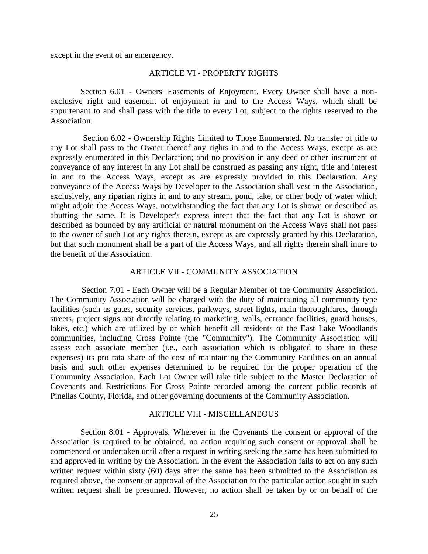except in the event of an emergency.

### ARTICLE VI - PROPERTY RIGHTS

Section 6.01 - Owners' Easements of Enjoyment. Every Owner shall have a nonexclusive right and easement of enjoyment in and to the Access Ways, which shall be appurtenant to and shall pass with the title to every Lot, subject to the rights reserved to the Association.

Section 6.02 - Ownership Rights Limited to Those Enumerated. No transfer of title to any Lot shall pass to the Owner thereof any rights in and to the Access Ways, except as are expressly enumerated in this Declaration; and no provision in any deed or other instrument of conveyance of any interest in any Lot shall be construed as passing any right, title and interest in and to the Access Ways, except as are expressly provided in this Declaration. Any conveyance of the Access Ways by Developer to the Association shall vest in the Association, exclusively, any riparian rights in and to any stream, pond, lake, or other body of water which might adjoin the Access Ways, notwithstanding the fact that any Lot is shown or described as abutting the same. It is Developer's express intent that the fact that any Lot is shown or described as bounded by any artificial or natural monument on the Access Ways shall not pass to the owner of such Lot any rights therein, except as are expressly granted by this Declaration, but that such monument shall be a part of the Access Ways, and all rights therein shall inure to the benefit of the Association.

#### ARTICLE VII - COMMUNITY ASSOCIATION

Section 7.01 - Each Owner will be a Regular Member of the Community Association. The Community Association will be charged with the duty of maintaining all community type facilities (such as gates, security services, parkways, street lights, main thoroughfares, through streets, project signs not directly relating to marketing, walls, entrance facilities, guard houses, lakes, etc.) which are utilized by or which benefit all residents of the East Lake Woodlands communities, including Cross Pointe (the "Community"). The Community Association will assess each associate member (i.e., each association which is obligated to share in these expenses) its pro rata share of the cost of maintaining the Community Facilities on an annual basis and such other expenses determined to be required for the proper operation of the Community Association. Each Lot Owner will take title subject to the Master Declaration of Covenants and Restrictions For Cross Pointe recorded among the current public records of Pinellas County, Florida, and other governing documents of the Community Association.

#### ARTICLE VIII - MISCELLANEOUS

Section 8.01 - Approvals. Wherever in the Covenants the consent or approval of the Association is required to be obtained, no action requiring such consent or approval shall be commenced or undertaken until after a request in writing seeking the same has been submitted to and approved in writing by the Association. In the event the Association fails to act on any such written request within sixty (60) days after the same has been submitted to the Association as required above, the consent or approval of the Association to the particular action sought in such written request shall be presumed. However, no action shall be taken by or on behalf of the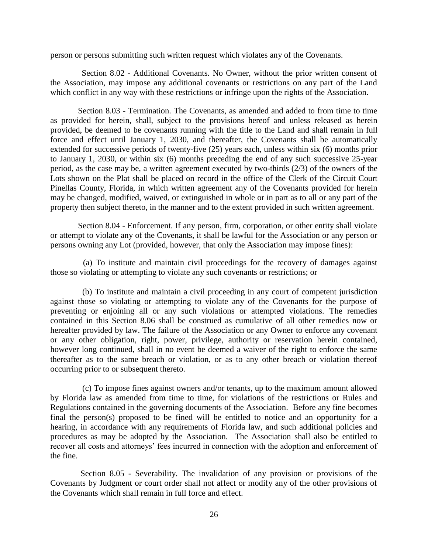person or persons submitting such written request which violates any of the Covenants.

Section 8.02 - Additional Covenants. No Owner, without the prior written consent of the Association, may impose any additional covenants or restrictions on any part of the Land which conflict in any way with these restrictions or infringe upon the rights of the Association.

Section 8.03 - Termination. The Covenants, as amended and added to from time to time as provided for herein, shall, subject to the provisions hereof and unless released as herein provided, be deemed to be covenants running with the title to the Land and shall remain in full force and effect until January 1, 2030, and thereafter, the Covenants shall be automatically extended for successive periods of twenty-five (25) years each, unless within six (6) months prior to January 1, 2030, or within six (6) months preceding the end of any such successive 25-year period, as the case may be, a written agreement executed by two-thirds (2/3) of the owners of the Lots shown on the Plat shall be placed on record in the office of the Clerk of the Circuit Court Pinellas County, Florida, in which written agreement any of the Covenants provided for herein may be changed, modified, waived, or extinguished in whole or in part as to all or any part of the property then subject thereto, in the manner and to the extent provided in such written agreement.

Section 8.04 - Enforcement. If any person, firm, corporation, or other entity shall violate or attempt to violate any of the Covenants, it shall be lawful for the Association or any person or persons owning any Lot (provided, however, that only the Association may impose fines):

(a) To institute and maintain civil proceedings for the recovery of damages against those so violating or attempting to violate any such covenants or restrictions; or

(b) To institute and maintain a civil proceeding in any court of competent jurisdiction against those so violating or attempting to violate any of the Covenants for the purpose of preventing or enjoining all or any such violations or attempted violations. The remedies contained in this Section 8.06 shall be construed as cumulative of all other remedies now or hereafter provided by law. The failure of the Association or any Owner to enforce any covenant or any other obligation, right, power, privilege, authority or reservation herein contained, however long continued, shall in no event be deemed a waiver of the right to enforce the same thereafter as to the same breach or violation, or as to any other breach or violation thereof occurring prior to or subsequent thereto.

(c) To impose fines against owners and/or tenants, up to the maximum amount allowed by Florida law as amended from time to time, for violations of the restrictions or Rules and Regulations contained in the governing documents of the Association. Before any fine becomes final the person(s) proposed to be fined will be entitled to notice and an opportunity for a hearing, in accordance with any requirements of Florida law, and such additional policies and procedures as may be adopted by the Association. The Association shall also be entitled to recover all costs and attorneys' fees incurred in connection with the adoption and enforcement of the fine.

Section 8.05 - Severability. The invalidation of any provision or provisions of the Covenants by Judgment or court order shall not affect or modify any of the other provisions of the Covenants which shall remain in full force and effect.